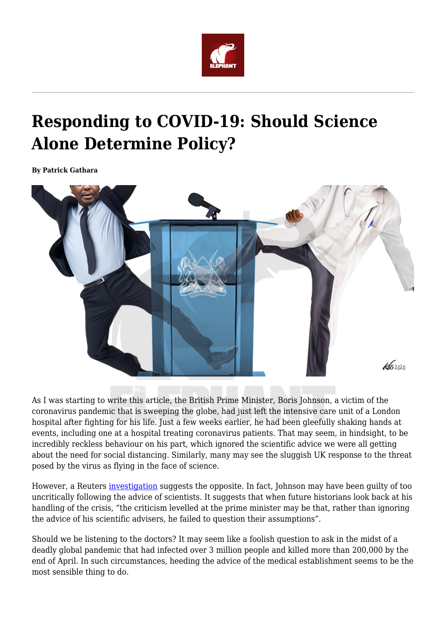

## **Responding to COVID-19: Should Science Alone Determine Policy?**

**By Patrick Gathara**



As I was starting to write this article, the British Prime Minister, Boris Johnson, a victim of the coronavirus pandemic that is sweeping the globe, had just left the intensive care unit of a London hospital after fighting for his life. Just a few weeks earlier, he had been gleefully shaking hands at events, including one at a hospital treating coronavirus patients. That may seem, in hindsight, to be incredibly reckless behaviour on his part, which ignored the scientific advice we were all getting about the need for social distancing. Similarly, many may see the sluggish UK response to the threat posed by the virus as flying in the face of science.

However, a Reuters [investigation](https://www.reuters.com/article/us-health-coronavirus-britain-path-speci-idUSKBN21P1VF) suggests the opposite. In fact, Johnson may have been guilty of too uncritically following the advice of scientists. It suggests that when future historians look back at his handling of the crisis, "the criticism levelled at the prime minister may be that, rather than ignoring the advice of his scientific advisers, he failed to question their assumptions".

Should we be listening to the doctors? It may seem like a foolish question to ask in the midst of a deadly global pandemic that had infected over 3 million people and killed more than 200,000 by the end of April. In such circumstances, heeding the advice of the medical establishment seems to be the most sensible thing to do.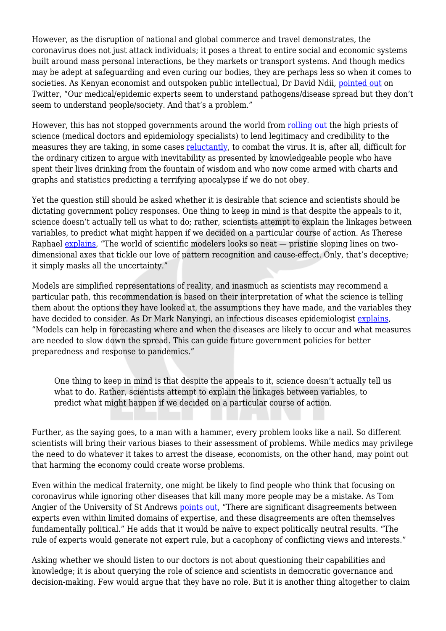However, as the disruption of national and global commerce and travel demonstrates, the coronavirus does not just attack individuals; it poses a threat to entire social and economic systems built around mass personal interactions, be they markets or transport systems. And though medics may be adept at safeguarding and even curing our bodies, they are perhaps less so when it comes to societies. As Kenyan economist and outspoken public intellectual, Dr David Ndii, [pointed out](https://twitter.com/DavidNdii/status/1241280173577850880) on Twitter, "Our medical/epidemic experts seem to understand pathogens/disease spread but they don't seem to understand people/society. And that's a problem."

However, this has not stopped governments around the world from [rolling out](https://www.wsj.com/articles/in-the-coronavirus-crisis-deputies-are-the-leaders-we-turn-to-11585972802) the high priests of science (medical doctors and epidemiology specialists) to lend legitimacy and credibility to the measures they are taking, in some cases [reluctantly,](https://www.nytimes.com/2020/04/02/world/coronavirus-live-news-updates.html) to combat the virus. It is, after all, difficult for the ordinary citizen to argue with inevitability as presented by knowledgeable people who have spent their lives drinking from the fountain of wisdom and who now come armed with charts and graphs and statistics predicting a terrifying apocalypse if we do not obey.

Yet the question still should be asked whether it is desirable that science and scientists should be dictating government policy responses. One thing to keep in mind is that despite the appeals to it, science doesn't actually tell us what to do; rather, scientists attempt to explain the linkages between variables, to predict what might happen if we decided on a particular course of action. As Therese Raphael [explains](https://www.bloomberg.com/opinion/articles/2020-03-31/what-the-coronavirus-models-are-trying-to-tell-us), "The world of scientific modelers looks so neat — pristine sloping lines on twodimensional axes that tickle our love of pattern recognition and cause-effect. Only, that's deceptive; it simply masks all the uncertainty."

Models are simplified representations of reality, and inasmuch as scientists may recommend a particular path, this recommendation is based on their interpretation of what the science is telling them about the options they have looked at, the assumptions they have made, and the variables they have decided to consider. As Dr Mark Nanyingi, an infectious diseases epidemiologist [explains,](https://theconversation.com/predicting-covid-19-what-applying-a-model-in-kenya-would-look-like-134675) "Models can help in forecasting where and when the diseases are likely to occur and what measures are needed to slow down the spread. This can guide future government policies for better preparedness and response to pandemics."

One thing to keep in mind is that despite the appeals to it, science doesn't actually tell us what to do. Rather, scientists attempt to explain the linkages between variables, to predict what might happen if we decided on a particular course of action.

Further, as the saying goes, to a man with a hammer, every problem looks like a nail. So different scientists will bring their various biases to their assessment of problems. While medics may privilege the need to do whatever it takes to arrest the disease, economists, on the other hand, may point out that harming the economy could create worse problems.

Even within the medical fraternity, one might be likely to find people who think that focusing on coronavirus while ignoring other diseases that kill many more people may be a mistake. As Tom Angier of the University of St Andrews [points out,](https://blogs.lse.ac.uk/europpblog/2013/01/03/the-technocratic-temptation-tom-angier/#Author) "There are significant disagreements between experts even within limited domains of expertise, and these disagreements are often themselves fundamentally political." He adds that it would be naïve to expect politically neutral results. "The rule of experts would generate not expert rule, but a cacophony of conflicting views and interests."

Asking whether we should listen to our doctors is not about questioning their capabilities and knowledge; it is about querying the role of science and scientists in democratic governance and decision-making. Few would argue that they have no role. But it is another thing altogether to claim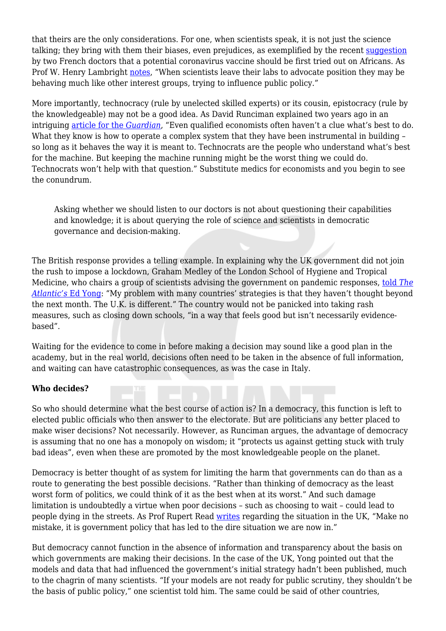that theirs are the only considerations. For one, when scientists speak, it is not just the science talking; they bring with them their biases, even prejudices, as exemplified by the recent [suggestion](https://www.aljazeera.com/news/2020/04/racism-row-french-doctors-suggest-virus-vaccine-test-africa-200404054304466.html) by two French doctors that a potential coronavirus vaccine should be first tried out on Africans. As Prof W. Henry Lambright [notes,](https://www.jstor.org/stable/pdf/25145570.pdf?refreqid=excelsior%3A1b56001a4b305327692e47eb4f73d0a9) "When scientists leave their labs to advocate position they may be behaving much like other interest groups, trying to influence public policy."

More importantly, technocracy (rule by unelected skilled experts) or its cousin, epistocracy (rule by the knowledgeable) may not be a good idea. As David Runciman explained two years ago in an intriguing [article for the](https://www.theguardian.com/news/2018/may/01/why-replacing-politicians-with-experts-is-a-reckless-idea) *[Guardian](https://www.theguardian.com/news/2018/may/01/why-replacing-politicians-with-experts-is-a-reckless-idea)*, "Even qualified economists often haven't a clue what's best to do. What they know is how to operate a complex system that they have been instrumental in building so long as it behaves the way it is meant to. Technocrats are the people who understand what's best for the machine. But keeping the machine running might be the worst thing we could do. Technocrats won't help with that question." Substitute medics for economists and you begin to see the conundrum.

Asking whether we should listen to our doctors is not about questioning their capabilities and knowledge; it is about querying the role of science and scientists in democratic governance and decision-making.

The British response provides a telling example. In explaining why the UK government did not join the rush to impose a lockdown, Graham Medley of the London School of Hygiene and Tropical Medicine, who chairs a group of scientists advising the government on pandemic responses, [told](https://www.theatlantic.com/health/archive/2020/03/coronavirus-pandemic-herd-immunity-uk-boris-johnson/608065/) *[The](https://www.theatlantic.com/health/archive/2020/03/coronavirus-pandemic-herd-immunity-uk-boris-johnson/608065/) [Atlantic's](https://www.theatlantic.com/health/archive/2020/03/coronavirus-pandemic-herd-immunity-uk-boris-johnson/608065/)* [Ed Yong](https://www.theatlantic.com/health/archive/2020/03/coronavirus-pandemic-herd-immunity-uk-boris-johnson/608065/): "My problem with many countries' strategies is that they haven't thought beyond the next month. The U.K. is different." The country would not be panicked into taking rash measures, such as closing down schools, "in a way that feels good but isn't necessarily evidencebased".

Waiting for the evidence to come in before making a decision may sound like a good plan in the academy, but in the real world, decisions often need to be taken in the absence of full information, and waiting can have catastrophic consequences, as was the case in Italy.

## **Who decides?**

So who should determine what the best course of action is? In a democracy, this function is left to elected public officials who then answer to the electorate. But are politicians any better placed to make wiser decisions? Not necessarily. However, as Runciman argues, the advantage of democracy is assuming that no one has a monopoly on wisdom; it "protects us against getting stuck with truly bad ideas", even when these are promoted by the most knowledgeable people on the planet.

Democracy is better thought of as system for limiting the harm that governments can do than as a route to generating the best possible decisions. "Rather than thinking of democracy as the least worst form of politics, we could think of it as the best when at its worst." And such damage limitation is undoubtedly a virtue when poor decisions – such as choosing to wait – could lead to people dying in the streets. As Prof Rupert Read [writes](https://www.edp24.co.uk/news/politics/pandemic-publix-inquiry-needed-says-rupert-read-1-6597165) regarding the situation in the UK, "Make no mistake, it is government policy that has led to the dire situation we are now in."

But democracy cannot function in the absence of information and transparency about the basis on which governments are making their decisions. In the case of the UK, Yong pointed out that the models and data that had influenced the government's initial strategy hadn't been published, much to the chagrin of many scientists. "If your models are not ready for public scrutiny, they shouldn't be the basis of public policy," one scientist told him. The same could be said of other countries,